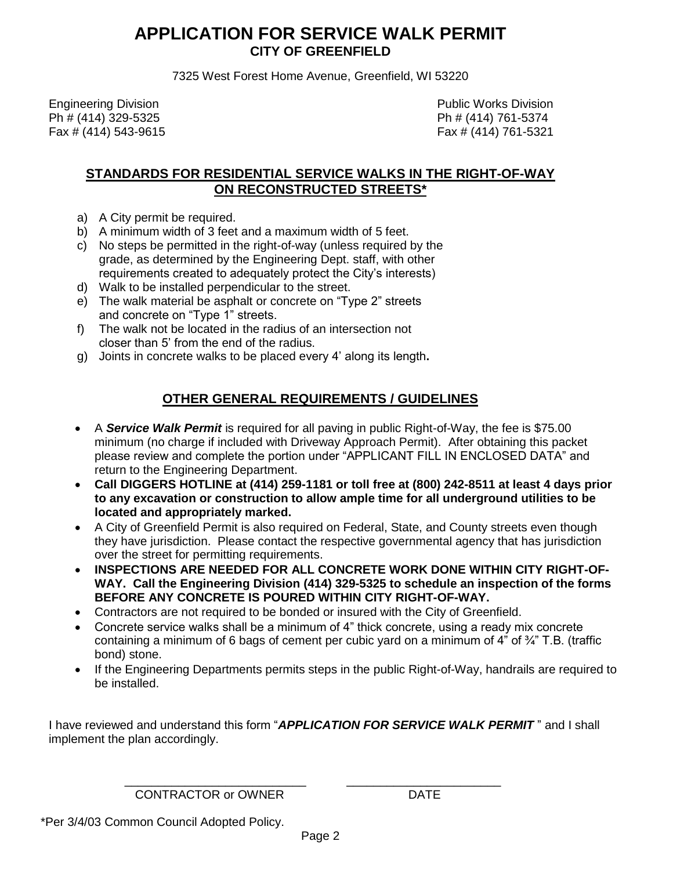## **APPLICATION FOR SERVICE WALK PERMIT CITY OF GREENFIELD**

7325 West Forest Home Avenue, Greenfield, WI 53220

 Engineering Division Public Works Division Ph # (414) 329-5325 Ph # (414) 761-5374 Fax # (414) 543-9615 Fax # (414) 761-5321

#### **STANDARDS FOR RESIDENTIAL SERVICE WALKS IN THE RIGHT-OF-WAY ON RECONSTRUCTED STREETS\***

- a) A City permit be required.
- b) A minimum width of 3 feet and a maximum width of 5 feet.
- c) No steps be permitted in the right-of-way (unless required by the grade, as determined by the Engineering Dept. staff, with other requirements created to adequately protect the City's interests)
- d) Walk to be installed perpendicular to the street.
- e) The walk material be asphalt or concrete on "Type 2" streets and concrete on "Type 1" streets.
- f) The walk not be located in the radius of an intersection not closer than 5' from the end of the radius.
- g) Joints in concrete walks to be placed every 4' along its length**.**

### **OTHER GENERAL REQUIREMENTS / GUIDELINES**

- A *Service Walk Permit* is required for all paving in public Right-of-Way, the fee is \$75.00 minimum (no charge if included with Driveway Approach Permit). After obtaining this packet please review and complete the portion under "APPLICANT FILL IN ENCLOSED DATA" and return to the Engineering Department.
- **Call DIGGERS HOTLINE at (414) 259-1181 or toll free at (800) 242-8511 at least 4 days prior to any excavation or construction to allow ample time for all underground utilities to be located and appropriately marked.**
- A City of Greenfield Permit is also required on Federal, State, and County streets even though they have jurisdiction. Please contact the respective governmental agency that has jurisdiction over the street for permitting requirements.
- **INSPECTIONS ARE NEEDED FOR ALL CONCRETE WORK DONE WITHIN CITY RIGHT-OF-WAY. Call the Engineering Division (414) 329-5325 to schedule an inspection of the forms BEFORE ANY CONCRETE IS POURED WITHIN CITY RIGHT-OF-WAY.**
- Contractors are not required to be bonded or insured with the City of Greenfield.
- Concrete service walks shall be a minimum of 4" thick concrete, using a ready mix concrete containing a minimum of 6 bags of cement per cubic yard on a minimum of 4" of ¾" T.B. (traffic bond) stone.
- If the Engineering Departments permits steps in the public Right-of-Way, handrails are required to be installed.

I have reviewed and understand this form "*APPLICATION FOR SERVICE WALK PERMIT* " and I shall implement the plan accordingly.

CONTRACTOR or OWNER DATE

 $\frac{1}{\sqrt{2}}$  ,  $\frac{1}{\sqrt{2}}$  ,  $\frac{1}{\sqrt{2}}$  ,  $\frac{1}{\sqrt{2}}$  ,  $\frac{1}{\sqrt{2}}$  ,  $\frac{1}{\sqrt{2}}$  ,  $\frac{1}{\sqrt{2}}$  ,  $\frac{1}{\sqrt{2}}$  ,  $\frac{1}{\sqrt{2}}$  ,  $\frac{1}{\sqrt{2}}$  ,  $\frac{1}{\sqrt{2}}$  ,  $\frac{1}{\sqrt{2}}$  ,  $\frac{1}{\sqrt{2}}$  ,  $\frac{1}{\sqrt{2}}$  ,  $\frac{1}{\sqrt{2}}$ 

\*Per 3/4/03 Common Council Adopted Policy.